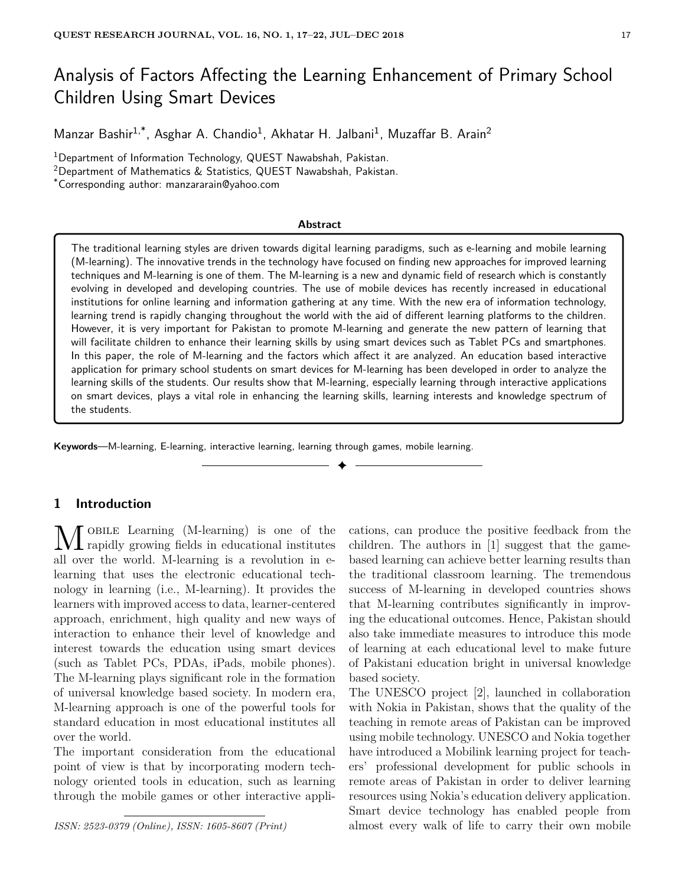# Analysis of Factors Affecting the Learning Enhancement of Primary School Children Using Smart Devices

Manzar Bashir<sup>1,\*</sup>, Asghar A. Chandio<sup>1</sup>, Akhatar H. Jalbani<sup>1</sup>, Muzaffar B. Arain<sup>2</sup>

<sup>1</sup>Department of Information Technology, QUEST Nawabshah, Pakistan.

<sup>2</sup>Department of Mathematics & Statistics, QUEST Nawabshah, Pakistan.

\*Corresponding author: manzararain@yahoo.com

#### **Abstract**

The traditional learning styles are driven towards digital learning paradigms, such as e-learning and mobile learning (M-learning). The innovative trends in the technology have focused on finding new approaches for improved learning techniques and M-learning is one of them. The M-learning is a new and dynamic field of research which is constantly evolving in developed and developing countries. The use of mobile devices has recently increased in educational institutions for online learning and information gathering at any time. With the new era of information technology, learning trend is rapidly changing throughout the world with the aid of different learning platforms to the children. However, it is very important for Pakistan to promote M-learning and generate the new pattern of learning that will facilitate children to enhance their learning skills by using smart devices such as Tablet PCs and smartphones. In this paper, the role of M-learning and the factors which affect it are analyzed. An education based interactive application for primary school students on smart devices for M-learning has been developed in order to analyze the learning skills of the students. Our results show that M-learning, especially learning through interactive applications on smart devices, plays a vital role in enhancing the learning skills, learning interests and knowledge spectrum of the students.

✦

**Keywords**—M-learning, E-learning, interactive learning, learning through games, mobile learning.

# **1 Introduction**

M OBILE Learning (M-learning) is one of the<br>rapidly growing fields in educational institutes obile Learning (M-learning) is one of the all over the world. M-learning is a revolution in elearning that uses the electronic educational technology in learning (i.e., M-learning). It provides the learners with improved access to data, learner-centered approach, enrichment, high quality and new ways of interaction to enhance their level of knowledge and interest towards the education using smart devices (such as Tablet PCs, PDAs, iPads, mobile phones). The M-learning plays significant role in the formation of universal knowledge based society. In modern era, M-learning approach is one of the powerful tools for standard education in most educational institutes all over the world.

The important consideration from the educational point of view is that by incorporating modern technology oriented tools in education, such as learning through the mobile games or other interactive appli-

*ISSN: 2523-0379 (Online), ISSN: 1605-8607 (Print)*

cations, can produce the positive feedback from the children. The authors in [1] suggest that the gamebased learning can achieve better learning results than the traditional classroom learning. The tremendous success of M-learning in developed countries shows that M-learning contributes significantly in improving the educational outcomes. Hence, Pakistan should also take immediate measures to introduce this mode of learning at each educational level to make future of Pakistani education bright in universal knowledge based society.

The UNESCO project [2], launched in collaboration with Nokia in Pakistan, shows that the quality of the teaching in remote areas of Pakistan can be improved using mobile technology. UNESCO and Nokia together have introduced a Mobilink learning project for teachers' professional development for public schools in remote areas of Pakistan in order to deliver learning resources using Nokia's education delivery application. Smart device technology has enabled people from almost every walk of life to carry their own mobile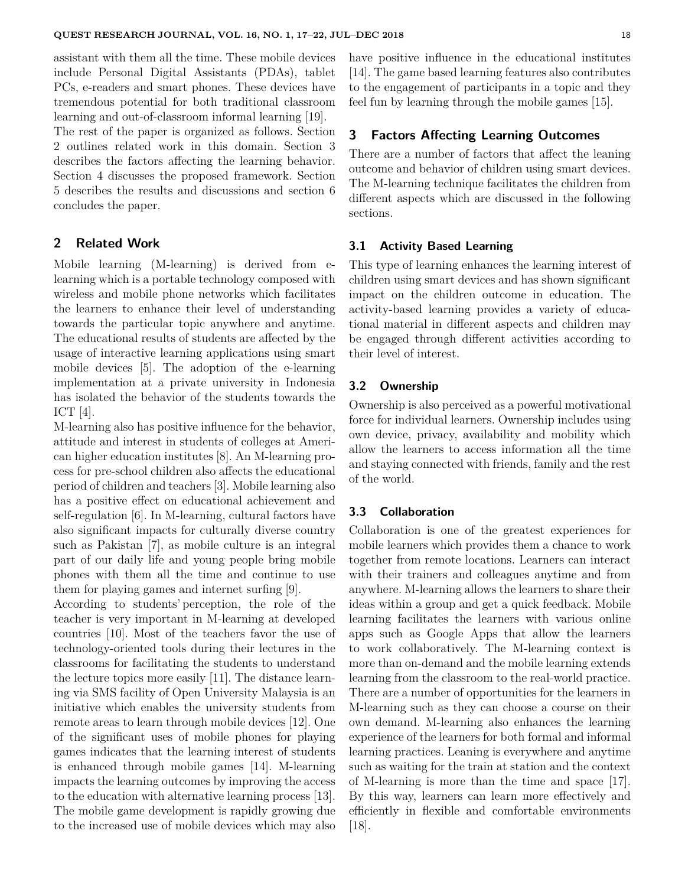assistant with them all the time. These mobile devices include Personal Digital Assistants (PDAs), tablet PCs, e-readers and smart phones. These devices have tremendous potential for both traditional classroom learning and out-of-classroom informal learning [19].

The rest of the paper is organized as follows. Section 2 outlines related work in this domain. Section 3 describes the factors affecting the learning behavior. Section 4 discusses the proposed framework. Section 5 describes the results and discussions and section 6 concludes the paper.

# **2 Related Work**

Mobile learning (M-learning) is derived from elearning which is a portable technology composed with wireless and mobile phone networks which facilitates the learners to enhance their level of understanding towards the particular topic anywhere and anytime. The educational results of students are affected by the usage of interactive learning applications using smart mobile devices [5]. The adoption of the e-learning implementation at a private university in Indonesia has isolated the behavior of the students towards the ICT [4].

M-learning also has positive influence for the behavior, attitude and interest in students of colleges at American higher education institutes [8]. An M-learning process for pre-school children also affects the educational period of children and teachers [3]. Mobile learning also has a positive effect on educational achievement and self-regulation [6]. In M-learning, cultural factors have also significant impacts for culturally diverse country such as Pakistan [7], as mobile culture is an integral part of our daily life and young people bring mobile phones with them all the time and continue to use them for playing games and internet surfing [9].

According to students' perception, the role of the teacher is very important in M-learning at developed countries [10]. Most of the teachers favor the use of technology-oriented tools during their lectures in the classrooms for facilitating the students to understand the lecture topics more easily [11]. The distance learning via SMS facility of Open University Malaysia is an initiative which enables the university students from remote areas to learn through mobile devices [12]. One of the significant uses of mobile phones for playing games indicates that the learning interest of students is enhanced through mobile games [14]. M-learning impacts the learning outcomes by improving the access to the education with alternative learning process [13]. The mobile game development is rapidly growing due to the increased use of mobile devices which may also have positive influence in the educational institutes [14]. The game based learning features also contributes to the engagement of participants in a topic and they feel fun by learning through the mobile games [15].

# **3 Factors Affecting Learning Outcomes**

There are a number of factors that affect the leaning outcome and behavior of children using smart devices. The M-learning technique facilitates the children from different aspects which are discussed in the following sections.

# **3.1 Activity Based Learning**

This type of learning enhances the learning interest of children using smart devices and has shown significant impact on the children outcome in education. The activity-based learning provides a variety of educational material in different aspects and children may be engaged through different activities according to their level of interest.

#### **3.2 Ownership**

Ownership is also perceived as a powerful motivational force for individual learners. Ownership includes using own device, privacy, availability and mobility which allow the learners to access information all the time and staying connected with friends, family and the rest of the world.

## **3.3 Collaboration**

Collaboration is one of the greatest experiences for mobile learners which provides them a chance to work together from remote locations. Learners can interact with their trainers and colleagues anytime and from anywhere. M-learning allows the learners to share their ideas within a group and get a quick feedback. Mobile learning facilitates the learners with various online apps such as Google Apps that allow the learners to work collaboratively. The M-learning context is more than on-demand and the mobile learning extends learning from the classroom to the real-world practice. There are a number of opportunities for the learners in M-learning such as they can choose a course on their own demand. M-learning also enhances the learning experience of the learners for both formal and informal learning practices. Leaning is everywhere and anytime such as waiting for the train at station and the context of M-learning is more than the time and space [17]. By this way, learners can learn more effectively and efficiently in flexible and comfortable environments  $|18|$ .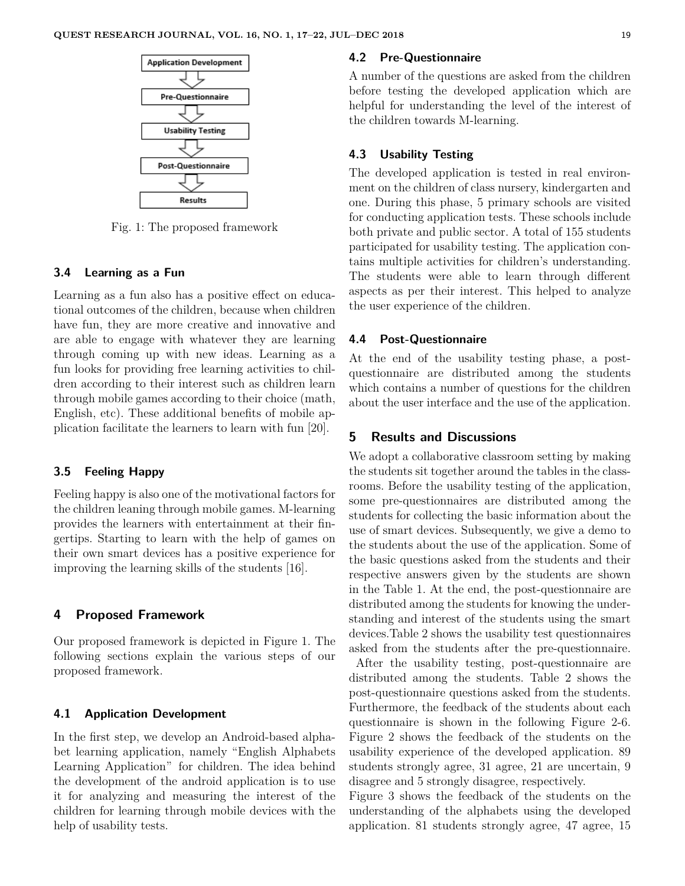

Fig. 1: The proposed framework

#### **3.4 Learning as a Fun**

Learning as a fun also has a positive effect on educational outcomes of the children, because when children have fun, they are more creative and innovative and are able to engage with whatever they are learning through coming up with new ideas. Learning as a fun looks for providing free learning activities to children according to their interest such as children learn through mobile games according to their choice (math, English, etc). These additional benefits of mobile application facilitate the learners to learn with fun [20].

#### **3.5 Feeling Happy**

Feeling happy is also one of the motivational factors for the children leaning through mobile games. M-learning provides the learners with entertainment at their fingertips. Starting to learn with the help of games on their own smart devices has a positive experience for improving the learning skills of the students [16].

## **4 Proposed Framework**

Our proposed framework is depicted in Figure 1. The following sections explain the various steps of our proposed framework.

#### **4.1 Application Development**

In the first step, we develop an Android-based alphabet learning application, namely "English Alphabets Learning Application" for children. The idea behind the development of the android application is to use it for analyzing and measuring the interest of the children for learning through mobile devices with the help of usability tests.

#### **4.2 Pre-Questionnaire**

A number of the questions are asked from the children before testing the developed application which are helpful for understanding the level of the interest of the children towards M-learning.

## **4.3 Usability Testing**

The developed application is tested in real environment on the children of class nursery, kindergarten and one. During this phase, 5 primary schools are visited for conducting application tests. These schools include both private and public sector. A total of 155 students participated for usability testing. The application contains multiple activities for children's understanding. The students were able to learn through different aspects as per their interest. This helped to analyze the user experience of the children.

#### **4.4 Post-Questionnaire**

At the end of the usability testing phase, a postquestionnaire are distributed among the students which contains a number of questions for the children about the user interface and the use of the application.

# **5 Results and Discussions**

We adopt a collaborative classroom setting by making the students sit together around the tables in the classrooms. Before the usability testing of the application, some pre-questionnaires are distributed among the students for collecting the basic information about the use of smart devices. Subsequently, we give a demo to the students about the use of the application. Some of the basic questions asked from the students and their respective answers given by the students are shown in the Table 1. At the end, the post-questionnaire are distributed among the students for knowing the understanding and interest of the students using the smart devices.Table 2 shows the usability test questionnaires asked from the students after the pre-questionnaire.

After the usability testing, post-questionnaire are distributed among the students. Table 2 shows the post-questionnaire questions asked from the students. Furthermore, the feedback of the students about each questionnaire is shown in the following Figure 2-6. Figure 2 shows the feedback of the students on the usability experience of the developed application. 89 students strongly agree, 31 agree, 21 are uncertain, 9 disagree and 5 strongly disagree, respectively.

Figure 3 shows the feedback of the students on the understanding of the alphabets using the developed application. 81 students strongly agree, 47 agree, 15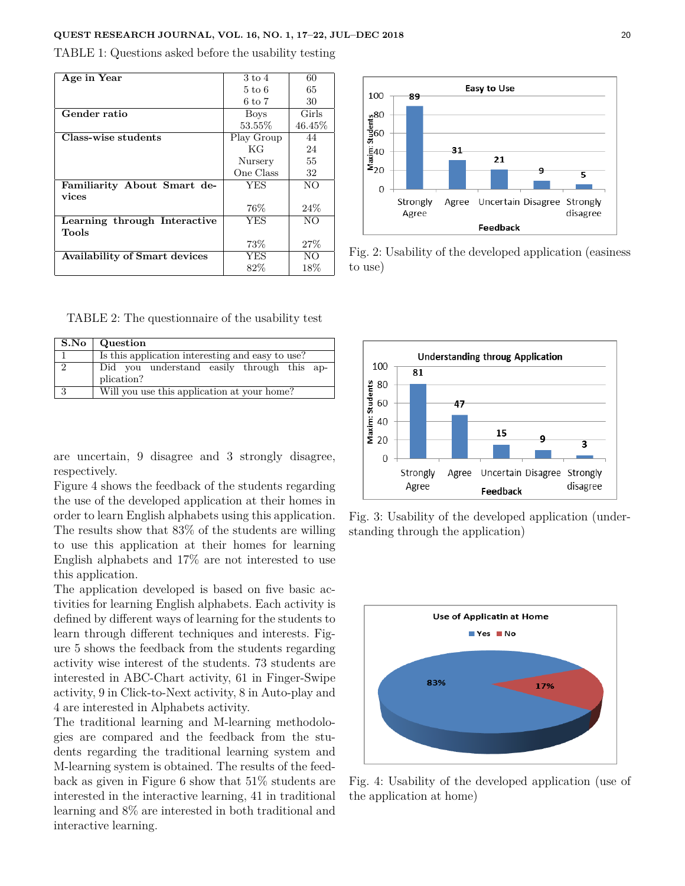#### **QUEST RESEARCH JOURNAL, VOL. 16, NO. 1, 17–22, JUL–DEC 2018** 20

TABLE 1: Questions asked before the usability testing

| Age in Year                          | $3 \text{ to } 4$ | 60     |
|--------------------------------------|-------------------|--------|
|                                      | $5 \text{ to } 6$ | 65     |
|                                      | 6 to 7            | 30     |
| Gender ratio                         | <b>Boys</b>       | Girls  |
|                                      | 53.55%            | 46.45% |
| Class-wise students                  | Play Group        | 44     |
|                                      | КG                | 24     |
|                                      | Nursery           | 55     |
|                                      | One Class         | 32     |
| Familiarity About Smart de-          | <b>YES</b>        | NO.    |
| vices                                |                   |        |
|                                      | 76%               | 24%    |
| Learning through Interactive         | <b>YES</b>        | NO.    |
| Tools                                |                   |        |
|                                      | 73%               | 27%    |
| <b>Availability of Smart devices</b> | <b>YES</b>        | NO.    |
|                                      | 82\%              | 18%    |



| S.No          | Question                                         |  |  |
|---------------|--------------------------------------------------|--|--|
|               | Is this application interesting and easy to use? |  |  |
| $\mathcal{D}$ | Did you understand easily through this ap-       |  |  |
|               | plication?                                       |  |  |
| 2             | Will you use this application at your home?      |  |  |

are uncertain, 9 disagree and 3 strongly disagree, respectively.

Figure 4 shows the feedback of the students regarding the use of the developed application at their homes in order to learn English alphabets using this application. The results show that 83% of the students are willing to use this application at their homes for learning English alphabets and 17% are not interested to use this application.

The application developed is based on five basic activities for learning English alphabets. Each activity is defined by different ways of learning for the students to learn through different techniques and interests. Figure 5 shows the feedback from the students regarding activity wise interest of the students. 73 students are interested in ABC-Chart activity, 61 in Finger-Swipe activity, 9 in Click-to-Next activity, 8 in Auto-play and 4 are interested in Alphabets activity.

The traditional learning and M-learning methodologies are compared and the feedback from the students regarding the traditional learning system and M-learning system is obtained. The results of the feedback as given in Figure 6 show that 51% students are interested in the interactive learning, 41 in traditional learning and 8% are interested in both traditional and interactive learning.



Fig. 2: Usability of the developed application (easiness to use)



Fig. 3: Usability of the developed application (understanding through the application)



Fig. 4: Usability of the developed application (use of the application at home)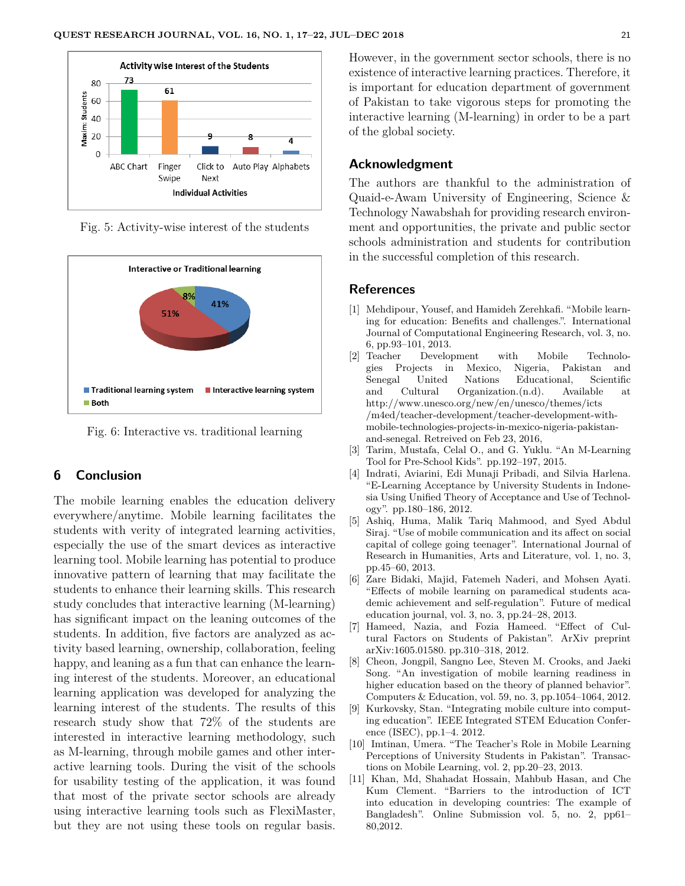

Fig. 5: Activity-wise interest of the students



Fig. 6: Interactive vs. traditional learning

#### **6 Conclusion**

The mobile learning enables the education delivery everywhere/anytime. Mobile learning facilitates the students with verity of integrated learning activities, especially the use of the smart devices as interactive learning tool. Mobile learning has potential to produce innovative pattern of learning that may facilitate the students to enhance their learning skills. This research study concludes that interactive learning (M-learning) has significant impact on the leaning outcomes of the students. In addition, five factors are analyzed as activity based learning, ownership, collaboration, feeling happy, and leaning as a fun that can enhance the learning interest of the students. Moreover, an educational learning application was developed for analyzing the learning interest of the students. The results of this research study show that 72% of the students are interested in interactive learning methodology, such as M-learning, through mobile games and other interactive learning tools. During the visit of the schools for usability testing of the application, it was found that most of the private sector schools are already using interactive learning tools such as FlexiMaster, but they are not using these tools on regular basis.

However, in the government sector schools, there is no existence of interactive learning practices. Therefore, it is important for education department of government of Pakistan to take vigorous steps for promoting the interactive learning (M-learning) in order to be a part of the global society.

### **Acknowledgment**

The authors are thankful to the administration of Quaid-e-Awam University of Engineering, Science & Technology Nawabshah for providing research environment and opportunities, the private and public sector schools administration and students for contribution in the successful completion of this research.

## **References**

- [1] Mehdipour, Yousef, and Hamideh Zerehkafi. "Mobile learning for education: Benefits and challenges.". International Journal of Computational Engineering Research, vol. 3, no. 6, pp.93–101, 2013.
- [2] Teacher Development with Mobile Technologies Projects in Mexico, Nigeria, Pakistan and Senegal United Nations Educational, Scientific and Cultural Organization.(n.d). Available at http://www.unesco.org/new/en/unesco/themes/icts /m4ed/teacher-development/teacher-development-withmobile-technologies-projects-in-mexico-nigeria-pakistanand-senegal. Retreived on Feb 23, 2016,
- [3] Tarim, Mustafa, Celal O., and G. Yuklu. "An M-Learning Tool for Pre-School Kids". pp.192–197, 2015.
- [4] Indrati, Aviarini, Edi Munaji Pribadi, and Silvia Harlena. "E-Learning Acceptance by University Students in Indonesia Using Unified Theory of Acceptance and Use of Technology". pp.180–186, 2012.
- [5] Ashiq, Huma, Malik Tariq Mahmood, and Syed Abdul Siraj. "Use of mobile communication and its affect on social capital of college going teenager". International Journal of Research in Humanities, Arts and Literature, vol. 1, no. 3, pp.45–60, 2013.
- [6] Zare Bidaki, Majid, Fatemeh Naderi, and Mohsen Ayati. "Effects of mobile learning on paramedical students academic achievement and self-regulation". Future of medical education journal, vol. 3, no. 3, pp.24–28, 2013.
- [7] Hameed, Nazia, and Fozia Hameed. "Effect of Cultural Factors on Students of Pakistan". ArXiv preprint arXiv:1605.01580. pp.310–318, 2012.
- [8] Cheon, Jongpil, Sangno Lee, Steven M. Crooks, and Jaeki Song. "An investigation of mobile learning readiness in higher education based on the theory of planned behavior". Computers & Education, vol. 59, no. 3, pp.1054–1064, 2012.
- [9] Kurkovsky, Stan. "Integrating mobile culture into computing education". IEEE Integrated STEM Education Conference (ISEC), pp.1–4. 2012.
- [10] Imtinan, Umera. "The Teacher's Role in Mobile Learning Perceptions of University Students in Pakistan". Transactions on Mobile Learning, vol. 2, pp.20–23, 2013.
- [11] Khan, Md, Shahadat Hossain, Mahbub Hasan, and Che Kum Clement. "Barriers to the introduction of ICT into education in developing countries: The example of Bangladesh". Online Submission vol. 5, no. 2, pp61– 80,2012.